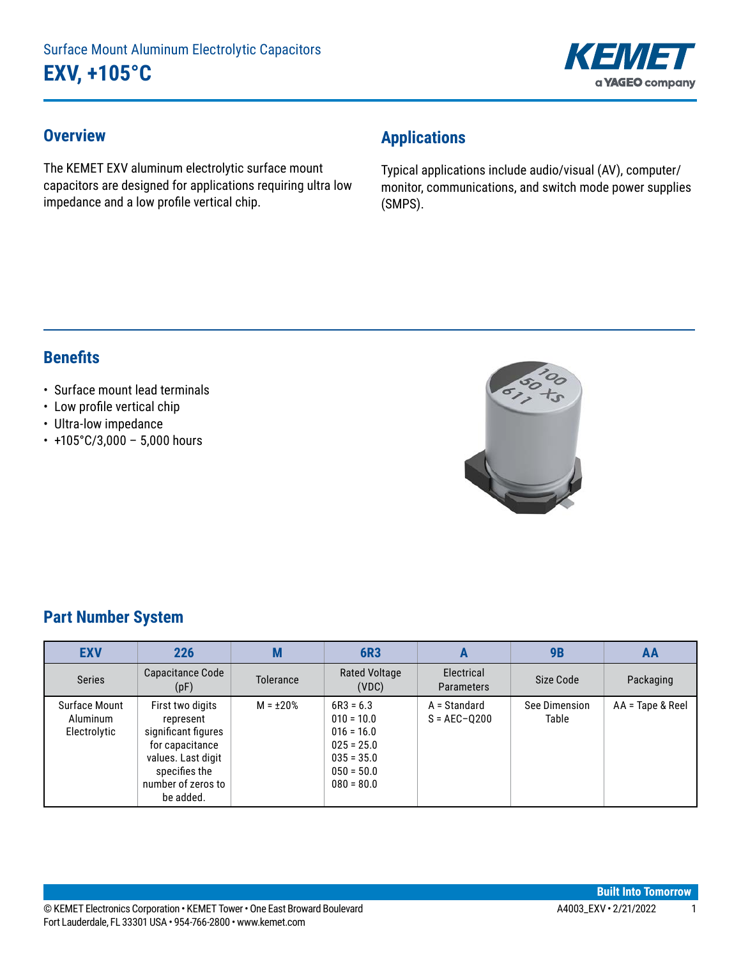

#### **Overview**

The KEMET EXV aluminum electrolytic surface mount capacitors are designed for applications requiring ultra low impedance and a low profile vertical chip.

# **Applications**

Typical applications include audio/visual (AV), computer/ monitor, communications, and switch mode power supplies (SMPS).

### **Benefits**

#### • Surface mount lead terminals

- • Low profile vertical chip
- Ultra-low impedance
- $\cdot$  +105°C/3,000 5,000 hours



### **Part Number System**

| <b>EXV</b>                                | 226                                                                                                                                               | M                | <b>6R3</b>                                                                                                  | A                                | 9B                     | AA               |
|-------------------------------------------|---------------------------------------------------------------------------------------------------------------------------------------------------|------------------|-------------------------------------------------------------------------------------------------------------|----------------------------------|------------------------|------------------|
| <b>Series</b>                             | Capacitance Code<br>(pF)                                                                                                                          | <b>Tolerance</b> | <b>Rated Voltage</b><br>(VDC)                                                                               | Electrical<br><b>Parameters</b>  | Size Code              | Packaging        |
| Surface Mount<br>Aluminum<br>Electrolytic | First two digits<br>represent<br>significant figures<br>for capacitance<br>values. Last digit<br>specifies the<br>number of zeros to<br>be added. | $M = \pm 20\%$   | $6R3 = 6.3$<br>$010 = 10.0$<br>$016 = 16.0$<br>$025 = 25.0$<br>$035 = 35.0$<br>$050 = 50.0$<br>$080 = 80.0$ | A = Standard<br>$S = AEC - Q200$ | See Dimension<br>Table | AA = Tape & Reel |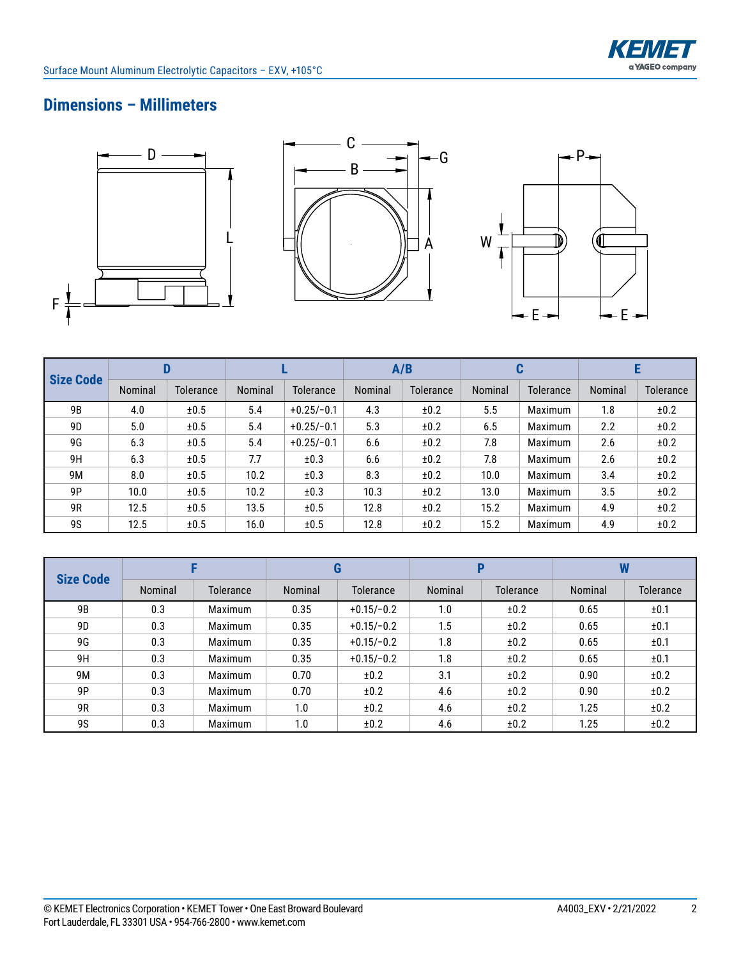

### **Dimensions – Millimeters**







| <b>Size Code</b> |         |                  |         |              | A/B     |                  |         | u              |         |           |
|------------------|---------|------------------|---------|--------------|---------|------------------|---------|----------------|---------|-----------|
|                  | Nominal | <b>Tolerance</b> | Nominal | Tolerance    | Nominal | <b>Tolerance</b> | Nominal | Tolerance      | Nominal | Tolerance |
| 9 <sub>B</sub>   | 4.0     | ±0.5             | 5.4     | $+0.25/-0.1$ | 4.3     | ±0.2             | 5.5     | Maximum        | 1.8     | ±0.2      |
| 9D               | 5.0     | ±0.5             | 5.4     | $+0.25/-0.1$ | 5.3     | ±0.2             | 6.5     | <b>Maximum</b> | 2.2     | ±0.2      |
| 9G               | 6.3     | ±0.5             | 5.4     | $+0.25/-0.1$ | 6.6     | ±0.2             | 7.8     | Maximum        | 2.6     | ±0.2      |
| 9H               | 6.3     | ±0.5             | 7.7     | ±0.3         | 6.6     | ±0.2             | 7.8     | <b>Maximum</b> | 2.6     | ±0.2      |
| 9M               | 8.0     | ±0.5             | 10.2    | ±0.3         | 8.3     | ±0.2             | 10.0    | Maximum        | 3.4     | ±0.2      |
| 9P               | 10.0    | ±0.5             | 10.2    | ±0.3         | 10.3    | ±0.2             | 13.0    | <b>Maximum</b> | 3.5     | ±0.2      |
| 9R               | 12.5    | ±0.5             | 13.5    | ±0.5         | 12.8    | ±0.2             | 15.2    | <b>Maximum</b> | 4.9     | ±0.2      |
| <b>9S</b>        | 12.5    | ±0.5             | 16.0    | ±0.5         | 12.8    | ±0.2             | 15.2    | <b>Maximum</b> | 4.9     | ±0.2      |

|                  |         |                |         | G                | D       |                  | W       |           |
|------------------|---------|----------------|---------|------------------|---------|------------------|---------|-----------|
| <b>Size Code</b> | Nominal | Tolerance      | Nominal | <b>Tolerance</b> | Nominal | <b>Tolerance</b> | Nominal | Tolerance |
| 9B               | 0.3     | Maximum        | 0.35    | $+0.15/-0.2$     | 1.0     | ±0.2             | 0.65    | ±0.1      |
| 9D               | 0.3     | <b>Maximum</b> | 0.35    | $+0.15/-0.2$     | 1.5     | ±0.2             | 0.65    | ±0.1      |
| 9G               | 0.3     | <b>Maximum</b> | 0.35    | $+0.15/-0.2$     | 1.8     | ±0.2             | 0.65    | ±0.1      |
| 9H               | 0.3     | <b>Maximum</b> | 0.35    | $+0.15/-0.2$     | 1.8     | ±0.2             | 0.65    | ±0.1      |
| 9M               | 0.3     | <b>Maximum</b> | 0.70    | ±0.2             | 3.1     | ±0.2             | 0.90    | ±0.2      |
| 9P               | 0.3     | <b>Maximum</b> | 0.70    | ±0.2             | 4.6     | ±0.2             | 0.90    | ±0.2      |
| 9R               | 0.3     | Maximum        | 1.0     | ±0.2             | 4.6     | ±0.2             | 1.25    | ±0.2      |
| <b>9S</b>        | 0.3     | Maximum        | 1.0     | ±0.2             | 4.6     | ±0.2             | 1.25    | ±0.2      |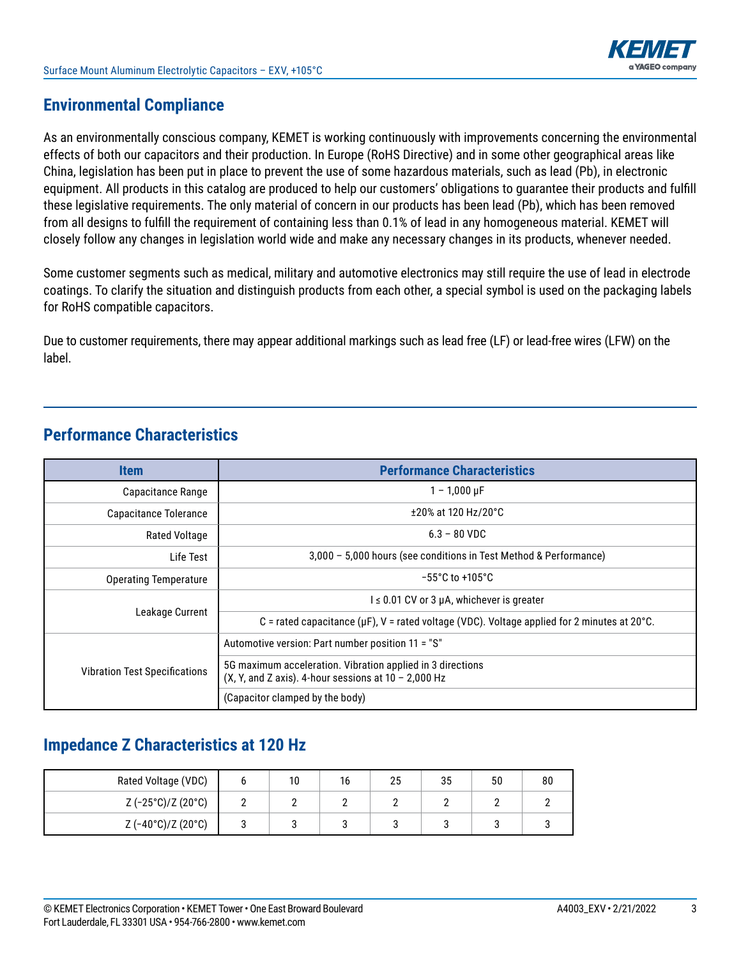

#### **Environmental Compliance**

As an environmentally conscious company, KEMET is working continuously with improvements concerning the environmental effects of both our capacitors and their production. In Europe (RoHS Directive) and in some other geographical areas like China, legislation has been put in place to prevent the use of some hazardous materials, such as lead (Pb), in electronic equipment. All products in this catalog are produced to help our customers' obligations to guarantee their products and fulfill these legislative requirements. The only material of concern in our products has been lead (Pb), which has been removed from all designs to fulfill the requirement of containing less than 0.1% of lead in any homogeneous material. KEMET will closely follow any changes in legislation world wide and make any necessary changes in its products, whenever needed.

Some customer segments such as medical, military and automotive electronics may still require the use of lead in electrode coatings. To clarify the situation and distinguish products from each other, a special symbol is used on the packaging labels for RoHS compatible capacitors.

Due to customer requirements, there may appear additional markings such as lead free (LF) or lead-free wires (LFW) on the label.

### **Performance Characteristics**

| <b>Item</b>                          | <b>Performance Characteristics</b>                                                                                   |  |  |  |
|--------------------------------------|----------------------------------------------------------------------------------------------------------------------|--|--|--|
| Capacitance Range                    | $1 - 1,000 \,\mu F$                                                                                                  |  |  |  |
| Capacitance Tolerance                | $±20\%$ at 120 Hz/20 $°C$                                                                                            |  |  |  |
| <b>Rated Voltage</b>                 | $6.3 - 80$ VDC                                                                                                       |  |  |  |
| Life Test                            | 3,000 - 5,000 hours (see conditions in Test Method & Performance)                                                    |  |  |  |
| <b>Operating Temperature</b>         | $-55^{\circ}$ C to $+105^{\circ}$ C                                                                                  |  |  |  |
|                                      | $l \leq 0.01$ CV or 3 µA, whichever is greater                                                                       |  |  |  |
| Leakage Current                      | C = rated capacitance ( $\mu$ F), V = rated voltage (VDC). Voltage applied for 2 minutes at 20°C.                    |  |  |  |
|                                      | Automotive version: Part number position 11 = "S"                                                                    |  |  |  |
| <b>Vibration Test Specifications</b> | 5G maximum acceleration. Vibration applied in 3 directions<br>(X, Y, and Z axis). 4-hour sessions at $10 - 2,000$ Hz |  |  |  |
|                                      | (Capacitor clamped by the body)                                                                                      |  |  |  |

# **Impedance Z Characteristics at 120 Hz**

| Rated Voltage (VDC)                |  | 10 | Ίb | 25 | 35 | 50 | 80 |
|------------------------------------|--|----|----|----|----|----|----|
| $Z (-25^{\circ}C)/Z (20^{\circ}C)$ |  | -  |    |    |    |    |    |
| $Z (-40^{\circ}C)/Z (20^{\circ}C)$ |  |    |    |    |    |    |    |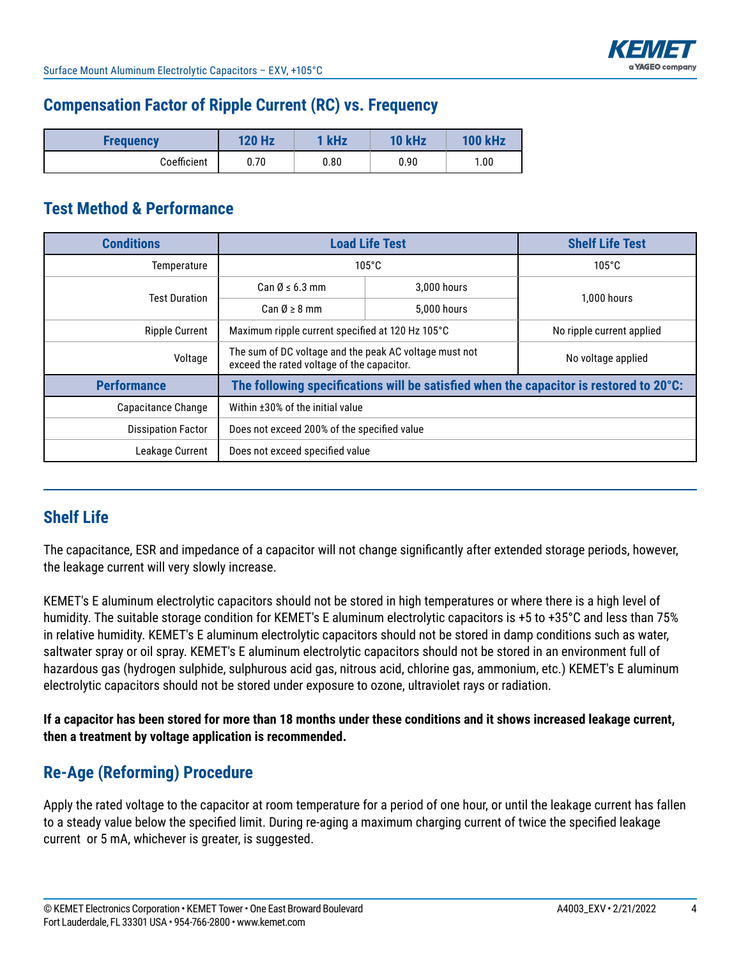

### **Compensation Factor of Ripple Current (RC) vs. Frequency**

| <b>Frequency</b> | <b>120 Hz</b> | 1 kHz | <b>10 kHz</b> | <b>100 kHz</b> |
|------------------|---------------|-------|---------------|----------------|
| Coefficient      | 0.70          | 0.80  | 0.90          | 1.00           |

### **Test Method & Performance**

| <b>Conditions</b>         | <b>Load Life Test</b>                                                                                | <b>Shelf Life Test</b>    |                                                                                        |  |
|---------------------------|------------------------------------------------------------------------------------------------------|---------------------------|----------------------------------------------------------------------------------------|--|
| Temperature               |                                                                                                      | $105^{\circ}$ C           |                                                                                        |  |
| <b>Test Duration</b>      | Can $\emptyset \leq 6.3$ mm                                                                          | 3.000 hours               |                                                                                        |  |
|                           | Can $\emptyset \geq 8$ mm                                                                            | 5.000 hours               | 1.000 hours                                                                            |  |
| <b>Ripple Current</b>     | Maximum ripple current specified at 120 Hz 105°C                                                     | No ripple current applied |                                                                                        |  |
| Voltage                   | The sum of DC voltage and the peak AC voltage must not<br>exceed the rated voltage of the capacitor. |                           | No voltage applied                                                                     |  |
| <b>Performance</b>        |                                                                                                      |                           | The following specifications will be satisfied when the capacitor is restored to 20°C: |  |
| Capacitance Change        | Within ±30% of the initial value                                                                     |                           |                                                                                        |  |
| <b>Dissipation Factor</b> | Does not exceed 200% of the specified value                                                          |                           |                                                                                        |  |
| Leakage Current           | Does not exceed specified value                                                                      |                           |                                                                                        |  |

### **Shelf Life**

The capacitance, ESR and impedance of a capacitor will not change significantly after extended storage periods, however, the leakage current will very slowly increase.

KEMET's E aluminum electrolytic capacitors should not be stored in high temperatures or where there is a high level of humidity. The suitable storage condition for KEMET's E aluminum electrolytic capacitors is +5 to +35°C and less than 75% in relative humidity. KEMET's E aluminum electrolytic capacitors should not be stored in damp conditions such as water, saltwater spray or oil spray. KEMET's E aluminum electrolytic capacitors should not be stored in an environment full of hazardous gas (hydrogen sulphide, sulphurous acid gas, nitrous acid, chlorine gas, ammonium, etc.) KEMET's E aluminum electrolytic capacitors should not be stored under exposure to ozone, ultraviolet rays or radiation.

**If a capacitor has been stored for more than 18 months under these conditions and it shows increased leakage current, then a treatment by voltage application is recommended.**

# **Re-Age (Reforming) Procedure**

Apply the rated voltage to the capacitor at room temperature for a period of one hour, or until the leakage current has fallen to a steady value below the specified limit. During re-aging a maximum charging current of twice the specified leakage current or 5 mA, whichever is greater, is suggested.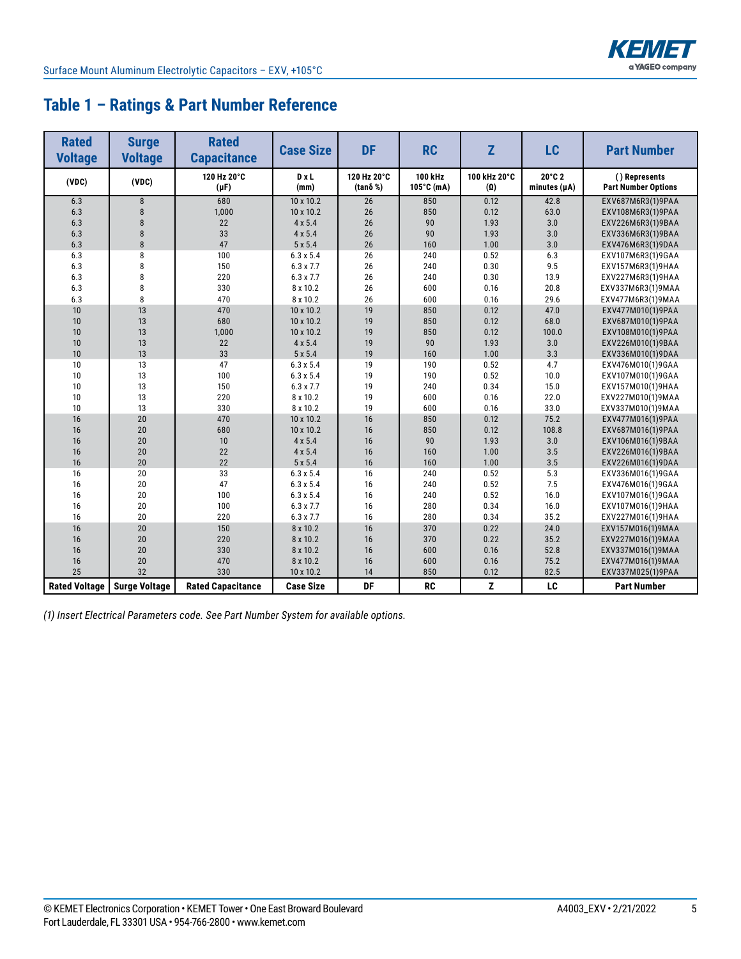

### **Table 1 – Ratings & Part Number Reference**

| <b>Rated</b><br><b>Voltage</b> | <b>Surge</b><br><b>Voltage</b> | <b>Rated</b><br><b>Capacitance</b> | <b>Case Size</b>    | <b>DF</b>                      | <b>RC</b>             | Z                          | LC                          | <b>Part Number</b>                          |
|--------------------------------|--------------------------------|------------------------------------|---------------------|--------------------------------|-----------------------|----------------------------|-----------------------------|---------------------------------------------|
| (VDC)                          | (VDC)                          | 120 Hz 20°C<br>$(\mu F)$           | <b>D</b> xL<br>(mm) | 120 Hz 20°C<br>$(tan\delta %)$ | 100 kHz<br>105°C (mA) | 100 kHz 20°C<br>$(\Omega)$ | 20°C 2<br>minutes $(\mu A)$ | () Represents<br><b>Part Number Options</b> |
| 6.3                            | 8                              | 680                                | $10 \times 10.2$    | 26                             | 850                   | 0.12                       | 42.8                        | EXV687M6R3(1)9PAA                           |
| 6.3                            | 8                              | 1,000                              | 10 x 10.2           | 26                             | 850                   | 0.12                       | 63.0                        | EXV108M6R3(1)9PAA                           |
| 6.3                            | 8                              | 22                                 | $4 \times 5.4$      | 26                             | 90                    | 1.93                       | 3.0                         | EXV226M6R3(1)9BAA                           |
| 6.3                            | $\mathsf{R}$                   | 33                                 | $4 \times 5.4$      | 26                             | 90                    | 1.93                       | 3.0                         | EXV336M6R3(1)9BAA                           |
| 6.3                            | 8                              | 47                                 | $5 \times 5.4$      | 26                             | 160                   | 1.00                       | 3.0                         | EXV476M6R3(1)9DAA                           |
| 6.3                            | 8                              | 100                                | $6.3 \times 5.4$    | 26                             | 240                   | 0.52                       | 6.3                         | EXV107M6R3(1)9GAA                           |
| 6.3                            | 8                              | 150                                | $6.3 \times 7.7$    | 26                             | 240                   | 0.30                       | 9.5                         | EXV157M6R3(1)9HAA                           |
| 6.3                            | 8                              | 220                                | $6.3 \times 7.7$    | 26                             | 240                   | 0.30                       | 13.9                        | EXV227M6R3(1)9HAA                           |
| 6.3                            | 8                              | 330                                | 8 x 10.2            | 26                             | 600                   | 0.16                       | 20.8                        | EXV337M6R3(1)9MAA                           |
| 6.3                            | 8                              | 470                                | 8 x 10.2            | 26                             | 600                   | 0.16                       | 29.6                        | EXV477M6R3(1)9MAA                           |
| 10                             | 13                             | 470                                | 10 x 10.2           | 19                             | 850                   | 0.12                       | 47.0                        | EXV477M010(1)9PAA                           |
| 10                             | 13                             | 680                                | 10 x 10.2           | 19                             | 850                   | 0.12                       | 68.0                        | EXV687M010(1)9PAA                           |
| 10                             | 13                             | 1,000                              | 10 x 10.2           | 19                             | 850                   | 0.12                       | 100.0                       | EXV108M010(1)9PAA                           |
| 10                             | 13                             | 22                                 | $4 \times 5.4$      | 19                             | 90                    | 1.93                       | 3.0                         | EXV226M010(1)9BAA                           |
| 10                             | 13                             | 33                                 | $5 \times 5.4$      | 19                             | 160                   | 1.00                       | 3.3                         | EXV336M010(1)9DAA                           |
| 10                             | 13                             | 47                                 | $6.3 \times 5.4$    | 19                             | 190                   | 0.52                       | 4.7                         | EXV476M010(1)9GAA                           |
| 10                             | 13                             | 100                                | $6.3 \times 5.4$    | 19                             | 190                   | 0.52                       | 10.0                        | EXV107M010(1)9GAA                           |
| 10                             | 13                             | 150                                | $6.3 \times 7.7$    | 19                             | 240                   | 0.34                       | 15.0                        | EXV157M010(1)9HAA                           |
| 10                             | 13                             | 220                                | 8 x 10.2            | 19                             | 600                   | 0.16                       | 22.0                        | EXV227M010(1)9MAA                           |
| 10                             | 13                             | 330                                | 8 x 10.2            | 19                             | 600                   | 0.16                       | 33.0                        | EXV337M010(1)9MAA                           |
| 16                             | 20                             | 470                                | 10 x 10.2           | 16                             | 850                   | 0.12                       | 75.2                        | EXV477M016(1)9PAA                           |
| 16                             | 20                             | 680                                | 10 x 10.2           | 16                             | 850                   | 0.12                       | 108.8                       | EXV687M016(1)9PAA                           |
| 16                             | 20                             | 10                                 | $4 \times 5.4$      | 16                             | 90                    | 1.93                       | 3.0                         | EXV106M016(1)9BAA                           |
| 16                             | 20                             | 22                                 | $4 \times 5.4$      | 16                             | 160                   | 1.00                       | 3.5                         | EXV226M016(1)9BAA                           |
| 16                             | 20                             | 22                                 | $5 \times 5.4$      | 16                             | 160                   | 1.00                       | 3.5                         | EXV226M016(1)9DAA                           |
| 16                             | 20                             | 33                                 | $6.3 \times 5.4$    | 16                             | 240                   | 0.52                       | 5.3                         | EXV336M016(1)9GAA                           |
| 16                             | 20                             | 47                                 | $6.3 \times 5.4$    | 16                             | 240                   | 0.52                       | 7.5                         | EXV476M016(1)9GAA                           |
| 16                             | 20                             | 100                                | $6.3 \times 5.4$    | 16                             | 240                   | 0.52                       | 16.0                        | EXV107M016(1)9GAA                           |
| 16                             | 20                             | 100                                | 6.3 x 7.7           | 16                             | 280                   | 0.34                       | 16.0                        | EXV107M016(1)9HAA                           |
| 16                             | 20                             | 220                                | 6.3 x 7.7           | 16                             | 280                   | 0.34                       | 35.2                        | EXV227M016(1)9HAA                           |
| 16                             | 20                             | 150                                | 8 x 10.2            | 16                             | 370                   | 0.22                       | 24.0                        | EXV157M016(1)9MAA                           |
| 16                             | 20                             | 220                                | 8 x 10.2            | 16                             | 370                   | 0.22                       | 35.2                        | EXV227M016(1)9MAA                           |
| 16                             | 20                             | 330                                | 8 x 10.2            | 16                             | 600                   | 0.16                       | 52.8                        | EXV337M016(1)9MAA                           |
| 16                             | 20                             | 470                                | 8 x 10.2            | 16                             | 600                   | 0.16                       | 75.2                        | EXV477M016(1)9MAA                           |
| 25                             | 32                             | 330                                | 10 x 10.2           | 14                             | 850                   | 0.12                       | 82.5                        | EXV337M025(1)9PAA                           |
| <b>Rated Voltage</b>           | <b>Surge Voltage</b>           | <b>Rated Capacitance</b>           | <b>Case Size</b>    | DF                             | <b>RC</b>             | Z                          | LC                          | <b>Part Number</b>                          |

*(1) Insert Electrical Parameters code. See Part Number System for available options.*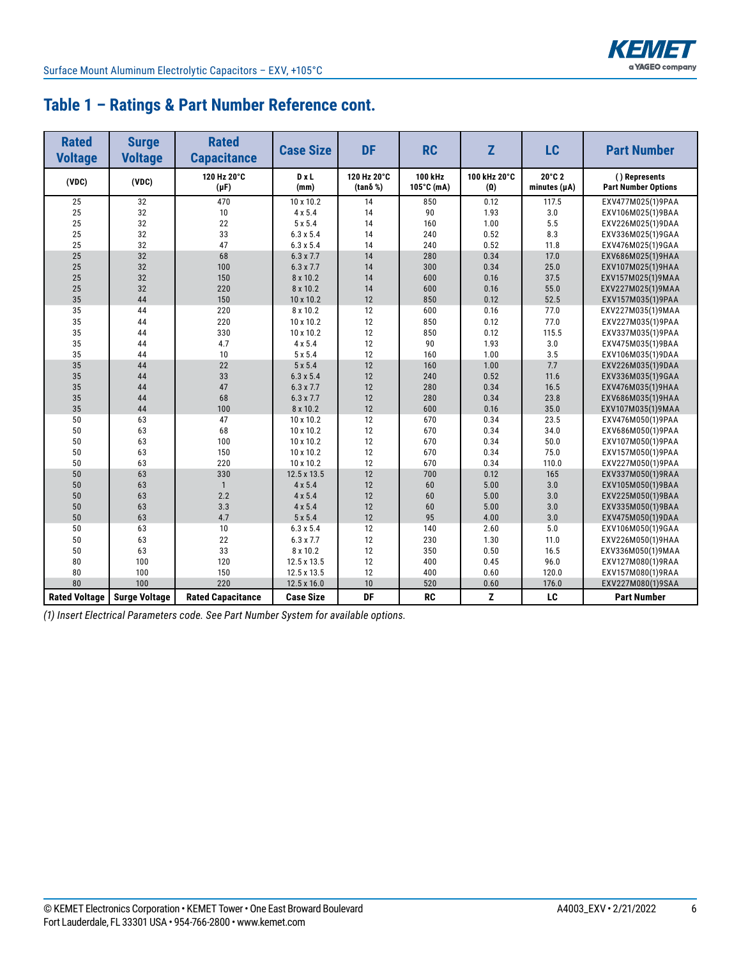

### **Table 1 – Ratings & Part Number Reference cont.**

| <b>Rated</b><br><b>Voltage</b> | <b>Surge</b><br><b>Voltage</b> | <b>Rated</b><br><b>Capacitance</b> | <b>Case Size</b> | <b>DF</b>              | <b>RC</b>             | Z                          | LC                          | <b>Part Number</b>                          |
|--------------------------------|--------------------------------|------------------------------------|------------------|------------------------|-----------------------|----------------------------|-----------------------------|---------------------------------------------|
| (VDC)                          | (VDC)                          | 120 Hz 20°C<br>$(\mu F)$           | DxL<br>(mm)      | 120 Hz 20°C<br>(tanδ%) | 100 kHz<br>105°C (mA) | 100 kHz 20°C<br>$(\Omega)$ | 20°C 2<br>minutes $(\mu A)$ | () Represents<br><b>Part Number Options</b> |
| 25                             | 32                             | 470                                | 10 x 10.2        | 14                     | 850                   | 0.12                       | 117.5                       | EXV477M025(1)9PAA                           |
| 25                             | 32                             | 10                                 | $4 \times 5.4$   | 14                     | 90                    | 1.93                       | 3.0                         | EXV106M025(1)9BAA                           |
| 25                             | 32                             | 22                                 | $5 \times 5.4$   | 14                     | 160                   | 1.00                       | 5.5                         | EXV226M025(1)9DAA                           |
| 25                             | 32                             | 33                                 | $6.3 \times 5.4$ | 14                     | 240                   | 0.52                       | 8.3                         | EXV336M025(1)9GAA                           |
| 25                             | 32                             | 47                                 | $6.3 \times 5.4$ | 14                     | 240                   | 0.52                       | 11.8                        | EXV476M025(1)9GAA                           |
| 25                             | 32                             | 68                                 | $6.3 \times 7.7$ | 14                     | 280                   | 0.34                       | 17.0                        | EXV686M025(1)9HAA                           |
| 25                             | 32                             | 100                                | $6.3 \times 7.7$ | 14                     | 300                   | 0.34                       | 25.0                        | EXV107M025(1)9HAA                           |
| 25                             | 32                             | 150                                | 8 x 10.2         | 14                     | 600                   | 0.16                       | 37.5                        | EXV157M025(1)9MAA                           |
| 25                             | 32                             | 220                                | 8 x 10.2         | 14                     | 600                   | 0.16                       | 55.0                        | EXV227M025(1)9MAA                           |
| 35                             | 44                             | 150                                | 10 x 10.2        | 12                     | 850                   | 0.12                       | 52.5                        | EXV157M035(1)9PAA                           |
| 35                             | 44                             | 220                                | 8 x 10.2         | 12                     | 600                   | 0.16                       | 77.0                        | EXV227M035(1)9MAA                           |
| 35                             | 44                             | 220                                | 10 x 10.2        | 12                     | 850                   | 0.12                       | 77.0                        | EXV227M035(1)9PAA                           |
| 35                             | 44                             | 330                                | 10 x 10.2        | 12                     | 850                   | 0.12                       | 115.5                       | EXV337M035(1)9PAA                           |
| 35                             | 44                             | 4.7                                | $4 \times 5.4$   | 12                     | 90                    | 1.93                       | 3.0                         | EXV475M035(1)9BAA                           |
| 35                             | 44                             | 10                                 | $5 \times 5.4$   | 12                     | 160                   | 1.00                       | 3.5                         | EXV106M035(1)9DAA                           |
| 35                             | 44                             | 22                                 | $5 \times 5.4$   | 12                     | 160                   | 1.00                       | 7.7                         | EXV226M035(1)9DAA                           |
| 35                             | 44                             | 33                                 | $6.3 \times 5.4$ | 12                     | 240                   | 0.52                       | 11.6                        | EXV336M035(1)9GAA                           |
| 35                             | 44                             | 47                                 | $6.3 \times 7.7$ | 12                     | 280                   | 0.34                       | 16.5                        | EXV476M035(1)9HAA                           |
| 35                             | 44                             | 68                                 | $6.3 \times 7.7$ | 12                     | 280                   | 0.34                       | 23.8                        | EXV686M035(1)9HAA                           |
| 35                             | 44                             | 100                                | 8 x 10.2         | 12                     | 600                   | 0.16                       | 35.0                        | EXV107M035(1)9MAA                           |
| 50                             | 63                             | 47                                 | 10 x 10.2        | 12                     | 670                   | 0.34                       | 23.5                        | EXV476M050(1)9PAA                           |
| 50                             | 63                             | 68                                 | 10 x 10.2        | 12                     | 670                   | 0.34                       | 34.0                        | EXV686M050(1)9PAA                           |
| 50                             | 63                             | 100                                | 10 x 10.2        | 12                     | 670                   | 0.34                       | 50.0                        | EXV107M050(1)9PAA                           |
| 50                             | 63                             | 150                                | 10 x 10.2        | 12                     | 670                   | 0.34                       | 75.0                        | EXV157M050(1)9PAA                           |
| 50                             | 63                             | 220                                | 10 x 10.2        | 12                     | 670                   | 0.34                       | 110.0                       | EXV227M050(1)9PAA                           |
| 50                             | 63                             | 330                                | 12.5 x 13.5      | 12                     | 700                   | 0.12                       | 165                         | EXV337M050(1)9RAA                           |
| 50                             | 63                             | $\mathbf{1}$                       | $4 \times 5.4$   | 12                     | 60                    | 5.00                       | 3.0                         | EXV105M050(1)9BAA                           |
| 50                             | 63                             | 2.2                                | $4 \times 5.4$   | 12                     | 60                    | 5.00                       | 3.0                         | EXV225M050(1)9BAA                           |
| 50                             | 63                             | 3.3                                | 4 x 5.4          | 12                     | 60                    | 5.00                       | 3.0                         | EXV335M050(1)9BAA                           |
| 50                             | 63                             | 4.7                                | $5 \times 5.4$   | 12                     | 95                    | 4.00                       | 3.0                         | EXV475M050(1)9DAA                           |
| 50                             | 63                             | 10                                 | $6.3 \times 5.4$ | 12                     | 140                   | 2.60                       | 5.0                         | EXV106M050(1)9GAA                           |
| 50                             | 63                             | 22                                 | $6.3 \times 7.7$ | 12                     | 230                   | 1.30                       | 11.0                        | EXV226M050(1)9HAA                           |
| 50                             | 63                             | 33                                 | 8 x 10.2         | 12                     | 350                   | 0.50                       | 16.5                        | EXV336M050(1)9MAA                           |
| 80                             | 100                            | 120                                | 12.5 x 13.5      | 12                     | 400                   | 0.45                       | 96.0                        | EXV127M080(1)9RAA                           |
| 80                             | 100                            | 150                                | 12.5 x 13.5      | 12                     | 400                   | 0.60                       | 120.0                       | EXV157M080(1)9RAA                           |
| 80                             | 100                            | 220                                | 12.5 x 16.0      | 10                     | 520                   | 0.60                       | 176.0                       | EXV227M080(1)9SAA                           |
| <b>Rated Voltage</b>           | <b>Surge Voltage</b>           | <b>Rated Capacitance</b>           | <b>Case Size</b> | DF                     | <b>RC</b>             | z                          | LC                          | <b>Part Number</b>                          |

*(1) Insert Electrical Parameters code. See Part Number System for available options.*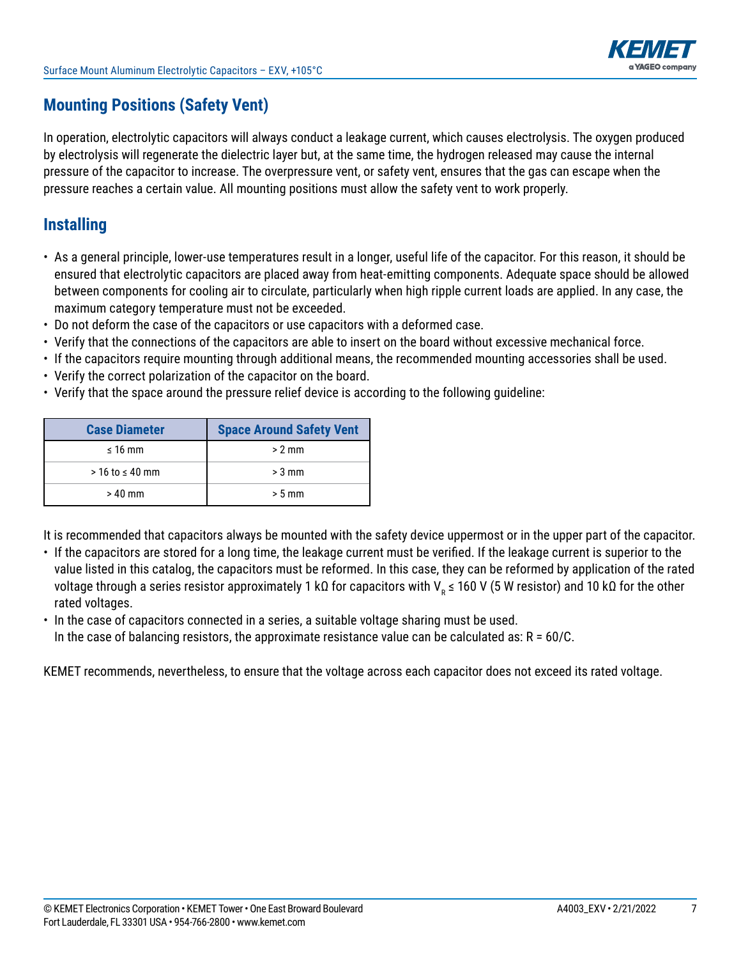

### **Mounting Positions (Safety Vent)**

In operation, electrolytic capacitors will always conduct a leakage current, which causes electrolysis. The oxygen produced by electrolysis will regenerate the dielectric layer but, at the same time, the hydrogen released may cause the internal pressure of the capacitor to increase. The overpressure vent, or safety vent, ensures that the gas can escape when the pressure reaches a certain value. All mounting positions must allow the safety vent to work properly.

### **Installing**

- As a general principle, lower-use temperatures result in a longer, useful life of the capacitor. For this reason, it should be ensured that electrolytic capacitors are placed away from heat-emitting components. Adequate space should be allowed between components for cooling air to circulate, particularly when high ripple current loads are applied. In any case, the maximum category temperature must not be exceeded.
- Do not deform the case of the capacitors or use capacitors with a deformed case.
- Verify that the connections of the capacitors are able to insert on the board without excessive mechanical force.
- If the capacitors require mounting through additional means, the recommended mounting accessories shall be used.
- Verify the correct polarization of the capacitor on the board.
- Verify that the space around the pressure relief device is according to the following guideline:

| <b>Case Diameter</b>   | <b>Space Around Safety Vent</b> |
|------------------------|---------------------------------|
| $\leq 16$ mm           | $> 2$ mm                        |
| $>$ 16 to $\leq$ 40 mm | $> 3$ mm                        |
| $>40$ mm               | $> 5$ mm                        |

It is recommended that capacitors always be mounted with the safety device uppermost or in the upper part of the capacitor.

- If the capacitors are stored for a long time, the leakage current must be verified. If the leakage current is superior to the value listed in this catalog, the capacitors must be reformed. In this case, they can be reformed by application of the rated voltage through a series resistor approximately 1 kΩ for capacitors with V<sub>R</sub> ≤ 160 V (5 W resistor) and 10 kΩ for the other rated voltages.
- In the case of capacitors connected in a series, a suitable voltage sharing must be used.
- In the case of balancing resistors, the approximate resistance value can be calculated as:  $R = 60/C$ .

KEMET recommends, nevertheless, to ensure that the voltage across each capacitor does not exceed its rated voltage.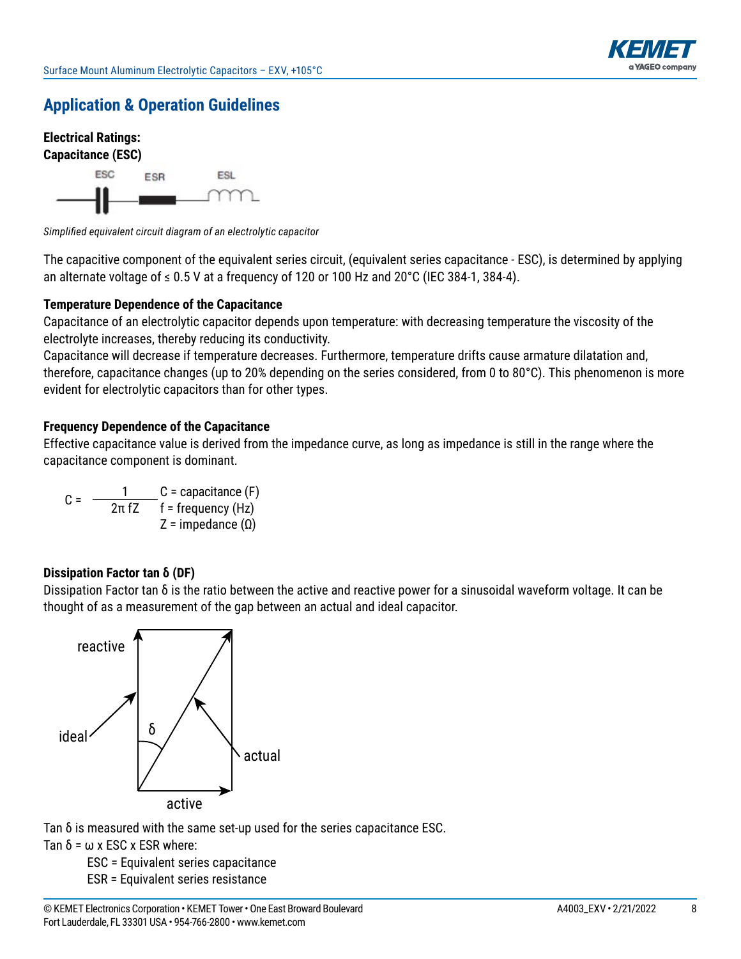



*Simplifi ed equivalent circuit diagram of an electrolytic capacitor* 

The capacitive component of the equivalent series circuit, (equivalent series capacitance - ESC), is determined by applying an alternate voltage of  $\leq 0.5$  V at a frequency of 120 or 100 Hz and 20°C (IEC 384-1, 384-4).

#### **Temperature Dependence of the Capacitance**

Capacitance of an electrolytic capacitor depends upon temperature: with decreasing temperature the viscosity of the electrolyte increases, thereby reducing its conductivity.

Capacitance will decrease if temperature decreases. Furthermore, temperature drifts cause armature dilatation and, therefore, capacitance changes (up to 20% depending on the series considered, from 0 to 80 $^{\circ}$ C). This phenomenon is more evident for electrolytic capacitors than for other types.

#### **Frequency Dependence of the Capacitance**

Effective capacitance value is derived from the impedance curve, as long as impedance is still in the range where the capacitance component is dominant.

C =  $\frac{1}{2\pi fZ}$  C = capacitance (F)<br> $\frac{1}{2\pi fZ}$  f = frequency (Hz) Z = impedance  $(Ω)$ 

#### **Dissipation Factor tan δ (DF)**

Dissipation Factor tan  $\delta$  is the ratio between the active and reactive power for a sinusoidal waveform voltage. It can be thought of as a measurement of the gap between an actual and ideal capacitor.



Tan δ is measured with the same set-up used for the series capacitance ESC.

Tan  $\delta$  =  $\omega$  x ESC x ESR where:

 ESC = Equivalent series capacitance ESR = Equivalent series resistance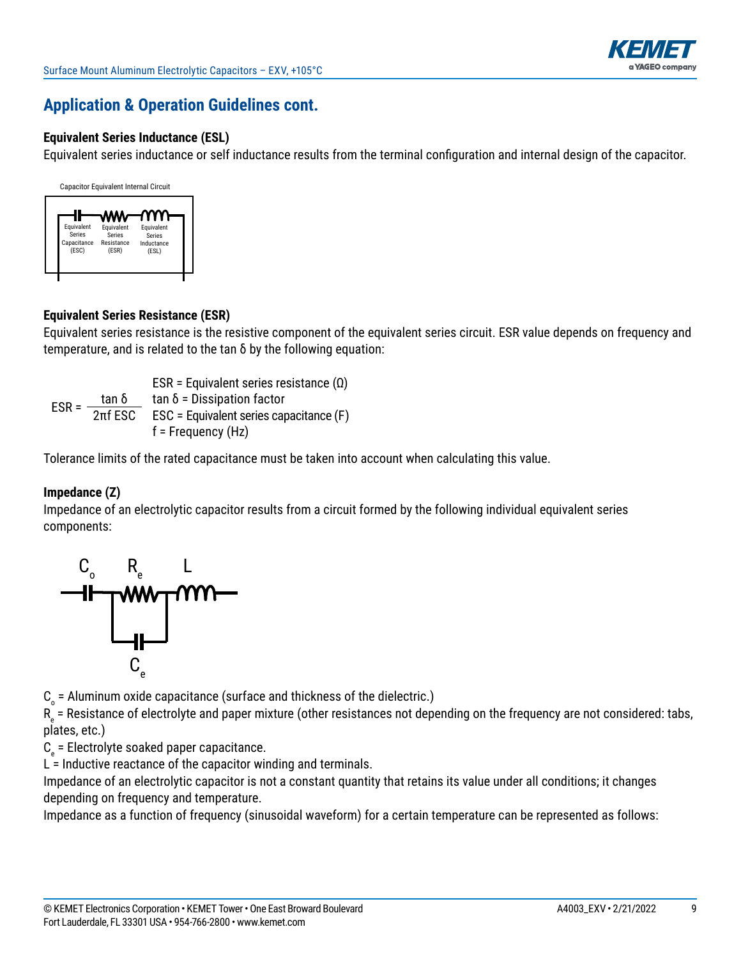

#### **Equivalent Series Inductance (ESL)**

Equivalent series inductance or self inductance results from the terminal configuration and internal design of the capacitor.



#### **Equivalent Series Resistance (ESR)**

Equivalent series resistance is the resistive component of the equivalent series circuit. ESR value depends on frequency and temperature, and is related to the  $\tan \delta$  by the following equation:

ESR = Equivalent series resistance  $(Ω)$ ESR =  $\frac{\tan \delta}{2\pi f}$  tan δ = Dissipation factor<br>ESR =  $\frac{2\pi f}{2\pi f}$  ESC = Equivalent series capacitance (F)  $f$  = Frequency (Hz)

Tolerance limits of the rated capacitance must be taken into account when calculating this value.

#### **Impedance (Z)**

Impedance of an electrolytic capacitor results from a circuit formed by the following individual equivalent series components:



 ${\tt C}_{_{\rm O}}$  = Aluminum oxide capacitance (surface and thickness of the dielectric.)

 $\mathsf{R}_{_\mathrm{e}}$  = Resistance of electrolyte and paper mixture (other resistances not depending on the frequency are not considered: tabs, plates, etc.)

 $C_{\rm e}$  = Electrolyte soaked paper capacitance.

 $L =$  Inductive reactance of the capacitor winding and terminals.

Impedance of an electrolytic capacitor is not a constant quantity that retains its value under all conditions; it changes depending on frequency and temperature.

Impedance as a function of frequency (sinusoidal waveform) for a certain temperature can be represented as follows: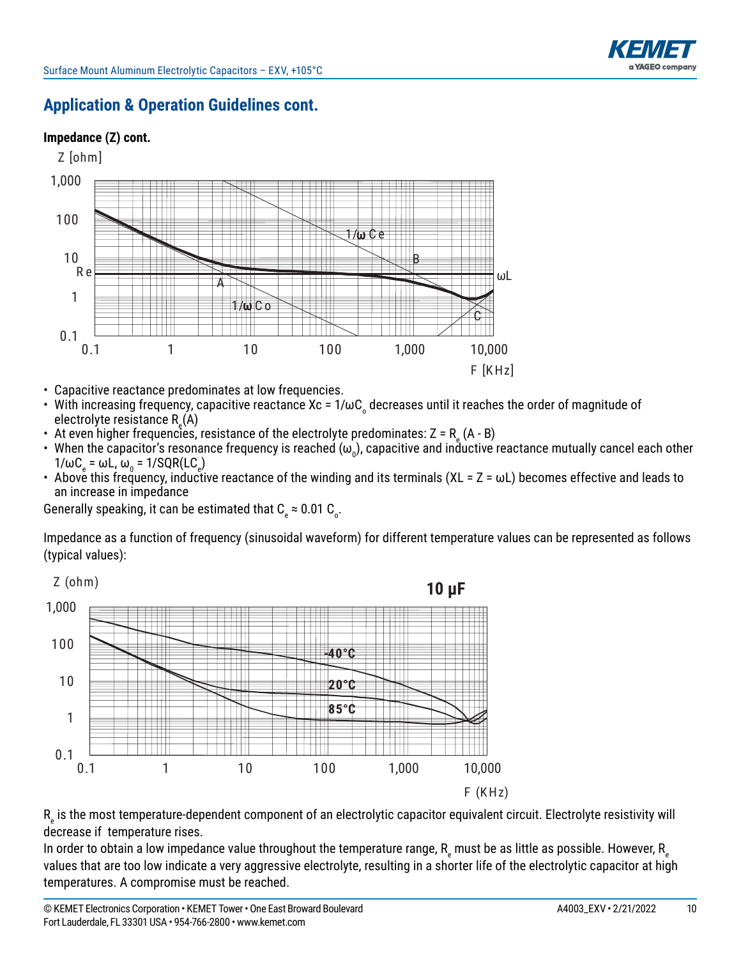

#### **Impedance (Z) cont.**



- Capacitive reactance predominates at low frequencies.
- With increasing frequency, capacitive reactance Xc =  $1/\omega C$  decreases until it reaches the order of magnitude of electrolyte resistance R<sub>e</sub>(A)
- At even higher frequencies, resistance of the electrolyte predominates: Z = R  $_{\textrm{\tiny{e}}}$  (A B)
- When the capacitor's resonance frequency is reached ( $\omega_0$ ), capacitive and inductive reactance mutually cancel each other  $1/\omega C_{\rm e} = \omega L$ ,  $\omega_{\rm o}$  = 1/SQR(LC<sub>e</sub>)
- Above this frequency, inductive reactance of the winding and its terminals (XL =  $Z = \omega L$ ) becomes effective and leads to an increase in impedance

Generally speaking, it can be estimated that C  $_{\textrm{\tiny{e}}}$   $\approx$  0.01 C  $_{\textrm{\tiny{o}}}$ .

Impedance as a function of frequency (sinusoidal waveform) for different temperature values can be represented as follows (typical values):



 $\mathsf{R}_{_\mathrm{e}}$  is the most temperature-dependent component of an electrolytic capacitor equivalent circuit. Electrolyte resistivity will decrease if temperature rises.

In order to obtain a low impedance value throughout the temperature range,  ${\sf R}_{_{\rm e}}$  must be as little as possible. However,  ${\sf R}_{_{\rm e}}$ values that are too low indicate a very aggressive electrolyte, resulting in a shorter life of the electrolytic capacitor at high temperatures. A compromise must be reached.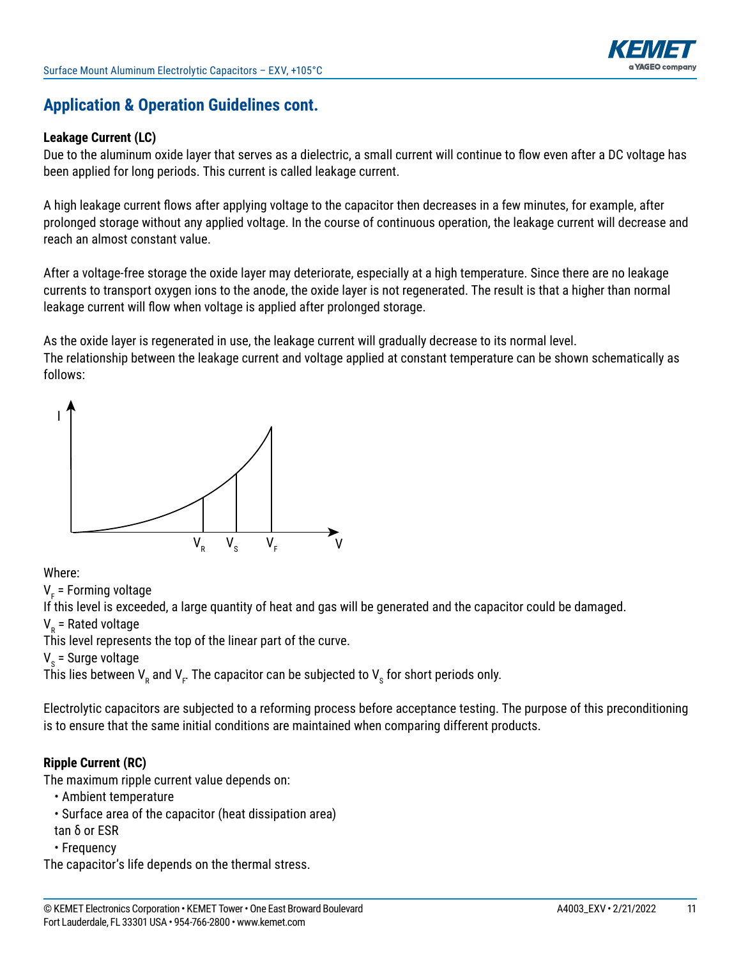

#### **Leakage Current (LC)**

Due to the aluminum oxide layer that serves as a dielectric, a small current will continue to flow even after a DC voltage has been applied for long periods. This current is called leakage current.

A high leakage current flows after applying voltage to the capacitor then decreases in a few minutes, for example, after prolonged storage without any applied voltage. In the course of continuous operation, the leakage current will decrease and reach an almost constant value.

After a voltage-free storage the oxide layer may deteriorate, especially at a high temperature. Since there are no leakage currents to transport oxygen ions to the anode, the oxide layer is not regenerated. The result is that a higher than normal leakage current will flow when voltage is applied after prolonged storage.

As the oxide layer is regenerated in use, the leakage current will gradually decrease to its normal level. The relationship between the leakage current and voltage applied at constant temperature can be shown schematically as follows:



#### Where:

V<sub>F</sub> = Forming voltage

If this level is exceeded, a large quantity of heat and gas will be generated and the capacitor could be damaged.

V<sub>R</sub> = Rated voltage

This level represents the top of the linear part of the curve.

V<sub>s</sub> = Surge voltage

This lies between  $\mathsf{V}_\mathsf{R}$  and  $\mathsf{V}_\mathsf{F}$ . The capacitor can be subjected to  $\mathsf{V}_\mathsf{S}$  for short periods only.

Electrolytic capacitors are subjected to a reforming process before acceptance testing. The purpose of this preconditioning is to ensure that the same initial conditions are maintained when comparing different products.

#### **Ripple Current (RC)**

The maximum ripple current value depends on:

- Ambient temperature
- Surface area of the capacitor (heat dissipation area)
- tan δ or ESR
- • Frequency

The capacitor's life depends on the thermal stress.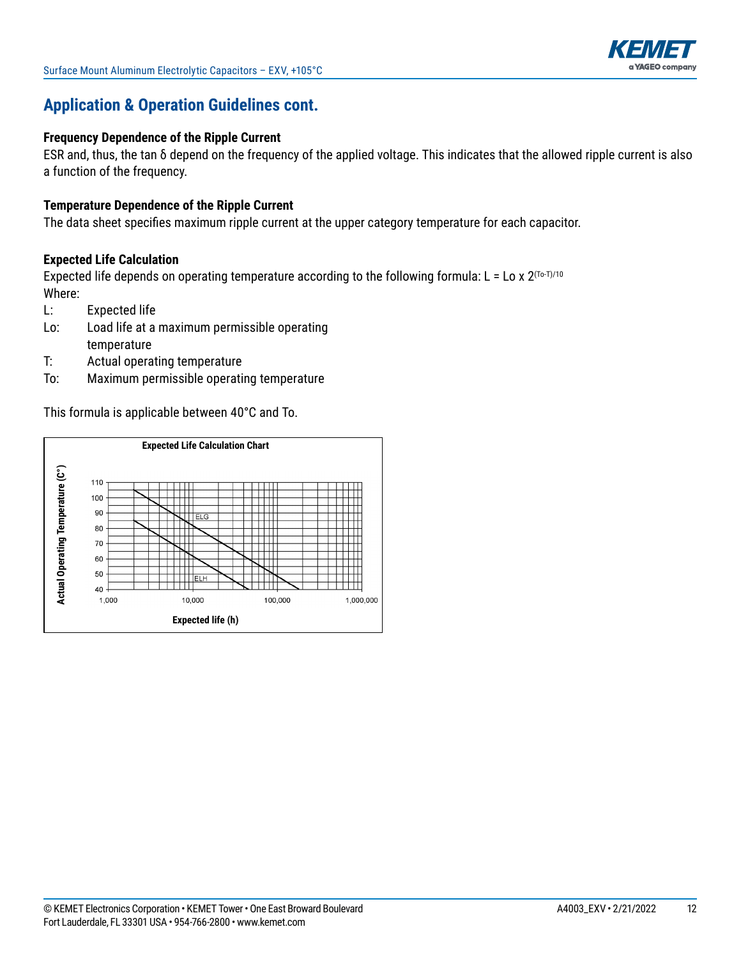

#### **Frequency Dependence of the Ripple Current**

ESR and, thus, the tan  $\delta$  depend on the frequency of the applied voltage. This indicates that the allowed ripple current is also a function of the frequency.

#### **Temperature Dependence of the Ripple Current**

The data sheet specifies maximum ripple current at the upper category temperature for each capacitor.

#### **Expected Life Calculation**

Expected life depends on operating temperature according to the following formula: L = Lo x  $2^{(T_0-T)/10}$ Where:

- L: Expected life
- Lo: Load life at a maximum permissible operating temperature
- T: Actual operating temperature
- To: Maximum permissible operating temperature

This formula is applicable between  $40^{\circ}$ C and To.

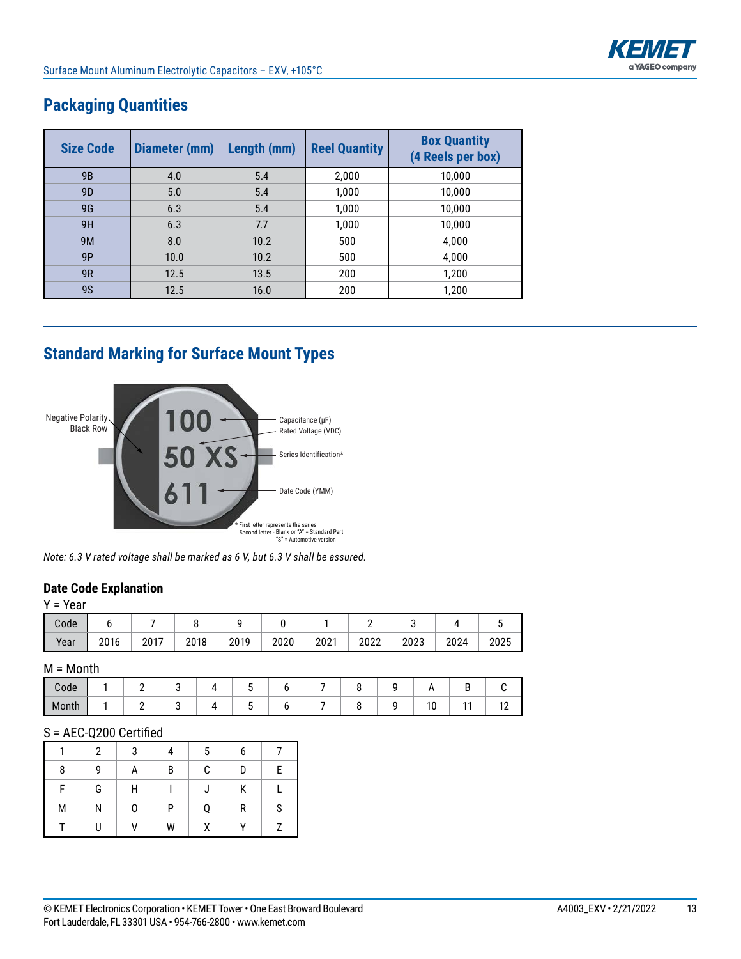

| <b>Size Code</b> | Diameter (mm) | Length (mm) | <b>Reel Quantity</b> | <b>Box Quantity</b><br>(4 Reels per box) |
|------------------|---------------|-------------|----------------------|------------------------------------------|
| 9 <sub>B</sub>   | 4.0           | 5.4         | 2,000                | 10,000                                   |
| 9 <sub>D</sub>   | 5.0           | 5.4         | 1,000                | 10,000                                   |
| 9G               | 6.3           | 5.4         | 1,000                | 10,000                                   |
| 9H               | 6.3           | 7.7         | 1,000                | 10,000                                   |
| 9M               | 8.0           | 10.2        | 500                  | 4,000                                    |
| 9P               | 10.0          | 10.2        | 500                  | 4,000                                    |
| 9R               | 12.5          | 13.5        | 200                  | 1,200                                    |
| <b>9S</b>        | 12.5          | 16.0        | 200                  | 1,200                                    |

### **Packaging Quantities**

# **Standard Marking for Surface Mount Types**





#### **Date Code Explanation**

|  | ×<br>۰.<br>×<br> |
|--|------------------|
|--|------------------|

| Code |      |      |      |      |      |      |      |      |      |      |
|------|------|------|------|------|------|------|------|------|------|------|
| Year | 2016 | 2017 | 2018 | 2019 | 2020 | 2021 | 2022 | 2023 | 2024 | 2025 |

#### M = Month

| ode /                                |  |  |  |  |              |            |
|--------------------------------------|--|--|--|--|--------------|------------|
| $\cdot$ 1<br>$\blacksquare$<br>Month |  |  |  |  | $\sim$<br>ี∪ | . <u>.</u> |

#### S = AEC-Q200 Certified

|   | 2 | 3 |   | 5 | 6 |   |
|---|---|---|---|---|---|---|
| 8 | g | А | B | C | D | E |
| F | G | Н |   |   | Κ |   |
| M | Ν | 0 | P | Q | R | S |
|   |   | V | W | χ |   |   |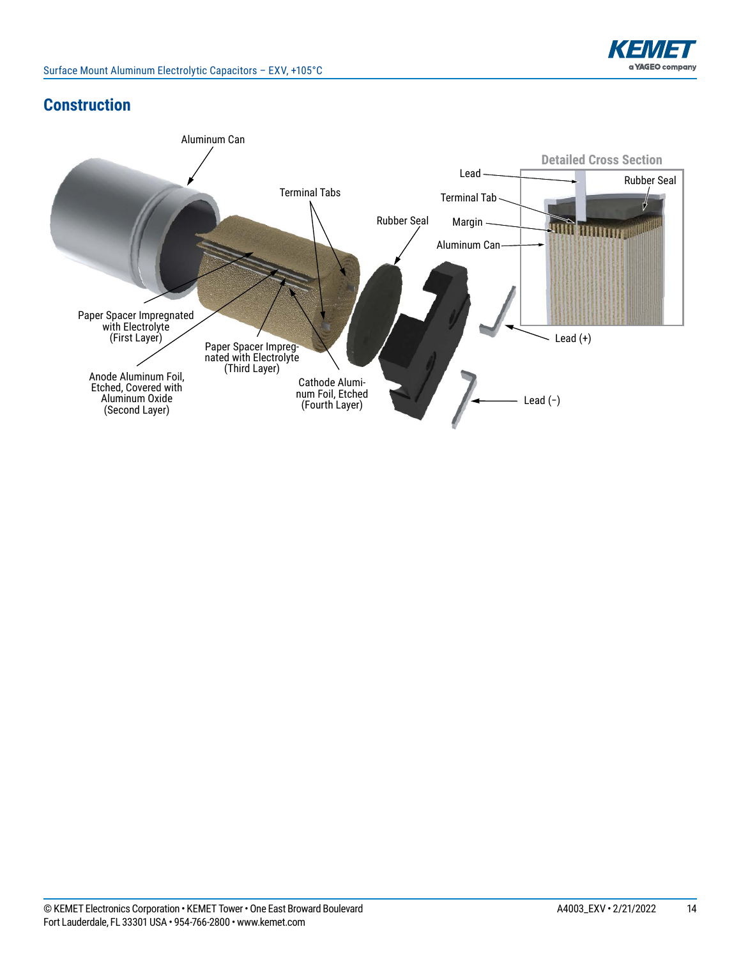

### **Construction**

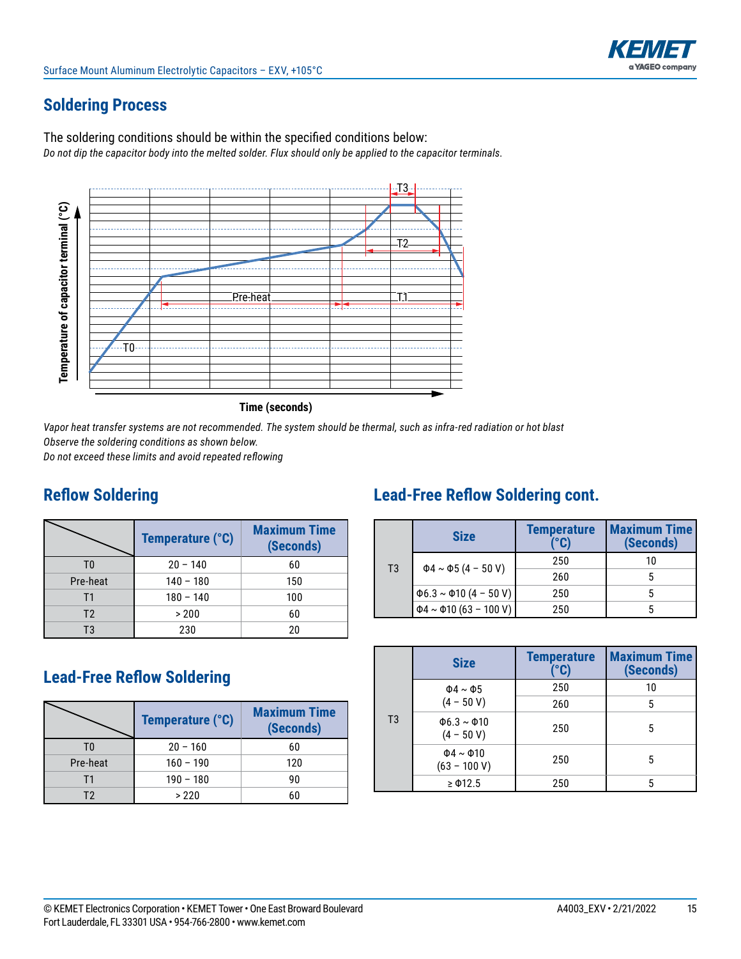# **Soldering Process**

The soldering conditions should be within the specified conditions below: *Do not dip the capacitor body into the melted solder. Flux should only be applied to the capacitor terminals.*





*Vapor heat transfer systems are not recommended. The system should be thermal, such as infra-red radiation or hot blast Observe the soldering conditions as shown below.* 

*Do not exceed these limits and avoid repeated reflowing*

### **Reflow Soldering**

|                | Temperature (°C) | <b>Maximum Time</b><br>(Seconds) |
|----------------|------------------|----------------------------------|
| T <sub>0</sub> | $20 - 140$       | 60                               |
| Pre-heat       | $140 - 180$      | 150                              |
| Τ1             | $180 - 140$      | 100                              |
| T <sub>2</sub> | > 200            | 60                               |
| T3             | 230              | 20                               |

### **Lead-Free Reflow Soldering**

|          | Temperature (°C) | <b>Maximum Time</b><br>(Seconds) |  |  |  |
|----------|------------------|----------------------------------|--|--|--|
| T۵       | $20 - 160$       | 60                               |  |  |  |
| Pre-heat | $160 - 190$      | 120                              |  |  |  |
| Τ1       | $190 - 180$      | 90                               |  |  |  |
| T2       | >220             | 60                               |  |  |  |

# **Lead-Free Reflow Soldering cont.**

|    | <b>Size</b>                       | <b>Temperature</b><br>(°C) | <b>Maximum Time</b><br>(Seconds) |  |  |
|----|-----------------------------------|----------------------------|----------------------------------|--|--|
| T3 | $\Phi$ 4 ~ $\Phi$ 5 (4 - 50 V)    | 250                        | 10                               |  |  |
|    |                                   | 260                        |                                  |  |  |
|    | $\Phi$ 6.3 ~ $\Phi$ 10 (4 - 50 V) | 250                        |                                  |  |  |
|    | $\Phi$ 4 ~ $\Phi$ 10 (63 - 100 V) | 250                        |                                  |  |  |

|                | <b>Size</b>                            | <b>Temperature</b><br>(°C) | <b>Maximum Time</b><br>(Seconds) |
|----------------|----------------------------------------|----------------------------|----------------------------------|
|                | $\Phi$ 4 ~ $\Phi$ 5                    | 250                        | 10                               |
|                | $(4 - 50 V)$                           | 260                        | 5                                |
| T <sub>3</sub> | $\Phi$ 6.3 ~ $\Phi$ 10<br>$(4 - 50 V)$ | 250                        | 5                                |
|                | $\Phi$ 4 ~ $\Phi$ 10<br>$(63 - 100 V)$ | 250                        | 5                                |
|                | $\geq$ $\Phi$ 12.5                     | 250                        | 5                                |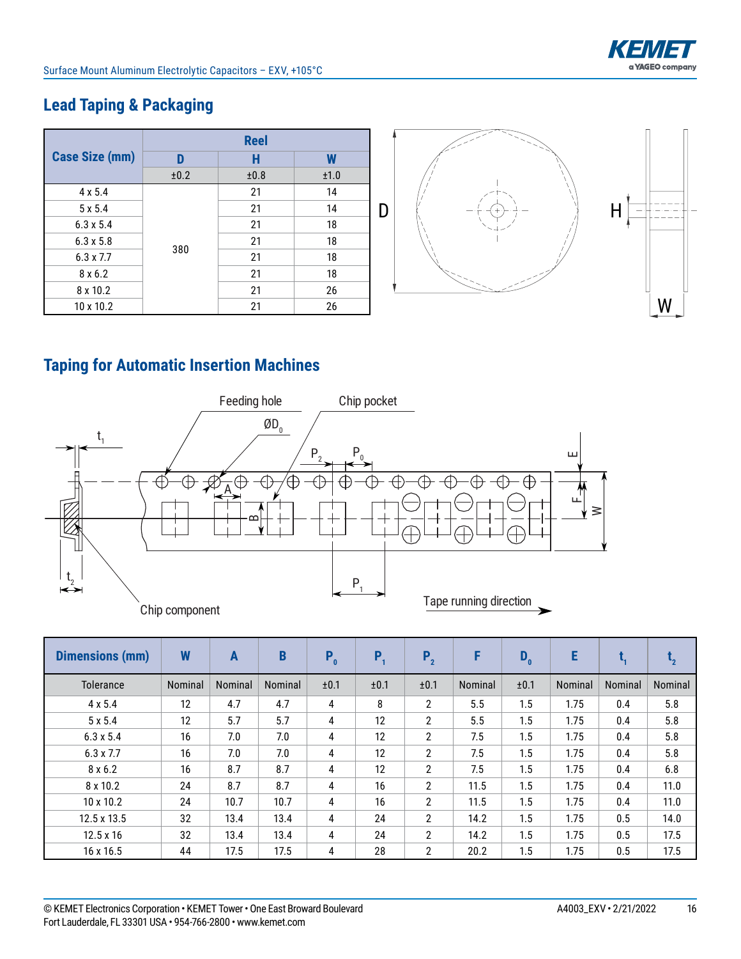

# **Lead Taping & Packaging**

|                       |      | <b>Reel</b> |      |   |                |               |
|-----------------------|------|-------------|------|---|----------------|---------------|
| <b>Case Size (mm)</b> |      | H           | W    |   |                |               |
|                       | ±0.2 | ±0.8        | ±1.0 |   |                |               |
| $4 \times 5.4$        |      | 21          | 14   |   |                |               |
| $5 \times 5.4$        |      | 21          | 14   | D | $-+$ .<br>---- |               |
| $6.3 \times 5.4$      |      | 21          | 18   |   |                |               |
| $6.3 \times 5.8$      |      | 21          | 18   |   |                |               |
| $6.3 \times 7.7$      | 380  | 21          | 18   |   |                |               |
| $8 \times 6.2$        |      | 21          | 18   |   |                |               |
| 8 x 10.2              |      | 21          | 26   |   |                |               |
| 10 x 10.2             |      | 21          | 26   |   |                | $\frac{W}{4}$ |

# **Taping for Automatic Insertion Machines**



| <b>Dimensions (mm)</b> | W       | A       | B       | $P_0$ | P,   | $P_{2}$               | F       | $D_0$ | E       |         | $\mathbf{I}_{2}$ |
|------------------------|---------|---------|---------|-------|------|-----------------------|---------|-------|---------|---------|------------------|
| <b>Tolerance</b>       | Nominal | Nominal | Nominal | ±0.1  | ±0.1 | ±0.1                  | Nominal | ±0.1  | Nominal | Nominal | Nominal          |
| $4 \times 5.4$         | 12      | 4.7     | 4.7     | 4     | 8    | $\overline{2}$        | 5.5     | 1.5   | 1.75    | 0.4     | 5.8              |
| 5x5.4                  | 12      | 5.7     | 5.7     | 4     | 12   | $\overline{2}$        | 5.5     | 1.5   | 1.75    | 0.4     | 5.8              |
| $6.3 \times 5.4$       | 16      | 7.0     | 7.0     | 4     | 12   | $\overline{2}$        | 7.5     | 1.5   | 1.75    | 0.4     | 5.8              |
| $6.3 \times 7.7$       | 16      | 7.0     | 7.0     | 4     | 12   | $\overline{2}$        | 7.5     | 1.5   | 1.75    | 0.4     | 5.8              |
| $8 \times 6.2$         | 16      | 8.7     | 8.7     | 4     | 12   | $\overline{2}$        | 7.5     | 1.5   | 1.75    | 0.4     | 6.8              |
| 8 x 10.2               | 24      | 8.7     | 8.7     | 4     | 16   | $\overline{2}$        | 11.5    | 1.5   | 1.75    | 0.4     | 11.0             |
| $10 \times 10.2$       | 24      | 10.7    | 10.7    | 4     | 16   | $\overline{2}$        | 11.5    | 1.5   | 1.75    | 0.4     | 11.0             |
| 12.5 x 13.5            | 32      | 13.4    | 13.4    | 4     | 24   | $\overline{2}$        | 14.2    | 1.5   | 1.75    | 0.5     | 14.0             |
| $12.5 \times 16$       | 32      | 13.4    | 13.4    | 4     | 24   | $\overline{2}$        | 14.2    | 1.5   | 1.75    | 0.5     | 17.5             |
| 16 x 16.5              | 44      | 17.5    | 17.5    | 4     | 28   | $\mathbf{2}^{\prime}$ | 20.2    | 1.5   | 1.75    | 0.5     | 17.5             |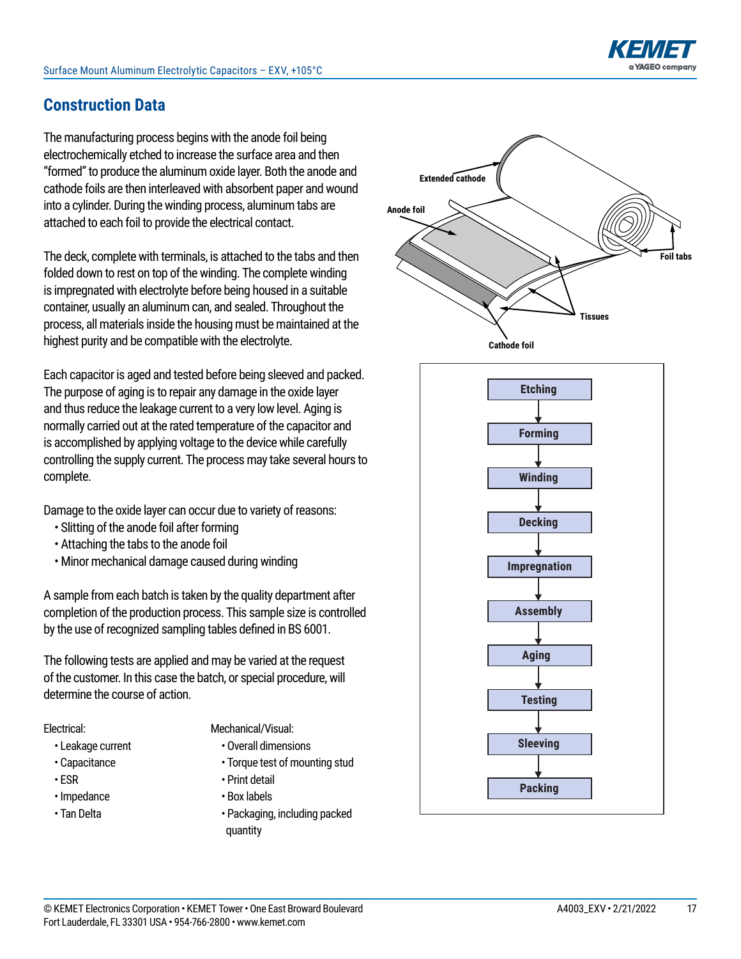

### **Construction Data**

The manufacturing process begins with the anode foil being electrochemically etched to increase the surface area and then "formed" to produce the aluminum oxide layer. Both the anode and cathode foils are then interleaved with absorbent paper and wound into a cylinder. During the winding process, aluminum tabs are attached to each foil to provide the electrical contact.

The deck, complete with terminals, is attached to the tabs and then folded down to rest on top of the winding. The complete winding is impregnated with electrolyte before being housed in a suitable container, usually an aluminum can, and sealed. Throughout the process, all materials inside the housing must be maintained at the highest purity and be compatible with the electrolyte.

Each capacitor is aged and tested before being sleeved and packed. The purpose of aging is to repair any damage in the oxide layer and thus reduce the leakage current to a very low level. Aging is normally carried out at the rated temperature of the capacitor and is accomplished by applying voltage to the device while carefully controlling the supply current. The process may take several hours to complete.

Damage to the oxide layer can occur due to variety of reasons:

- Slitting of the anode foil after forming
- Attaching the tabs to the anode foil
- Minor mechanical damage caused during winding

A sample from each batch is taken by the quality department after completion of the production process. This sample size is controlled by the use of recognized sampling tables defined in BS 6001.

The following tests are applied and may be varied at the request of the customer. In this case the batch, or special procedure, will determine the course of action.

#### Electrical:

- Leakage current
- Capacitance
- ESR
- • Impedance
- • Tan Delta
- Mechanical/Visual:
	- Overall dimensions
	- Torque test of mounting stud
	- Print detail
	- Box labels
	- Packaging, including packed quantity